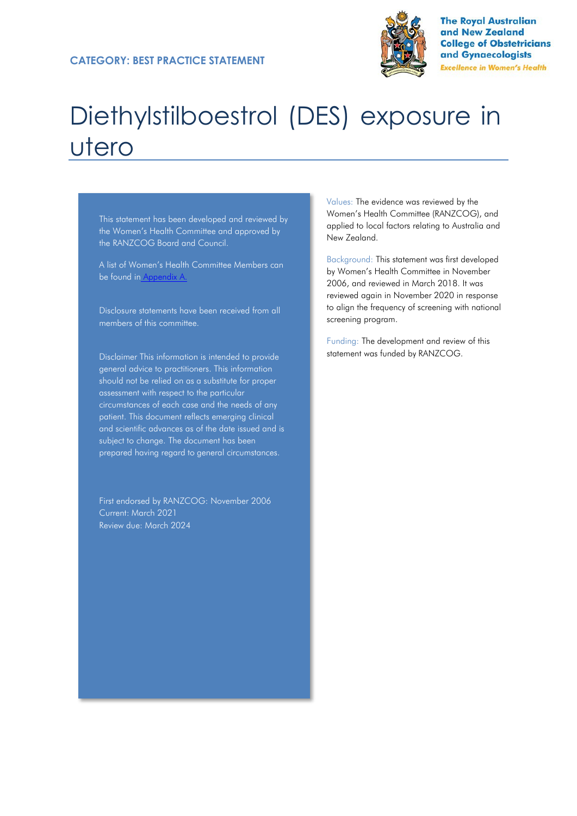

**The Royal Australian** and New Zealand **College of Obstetricians** and Gynaecologists **Excellence in Women's Health** 

# Diethylstilboestrol (DES) exposure in utero

This statement has been developed and reviewed by the Women's Health Committee and approved by the RANZCOG Board and Council.

A list of Women's Health Committee Members can be found in Appendix A.

Disclosure statements have been received from all members of this committee.

Disclaimer This information is intended to provide general advice to practitioners. This information should not be relied on as a substitute for proper assessment with respect to the particular circumstances of each case and the needs of any patient. This document reflects emerging clinical and scientific advances as of the date issued and is subject to change. The document has been prepared having regard to general circumstances.

First endorsed by RANZCOG: November 2006 Current: March 2021 Review due: March 2024

Values: The evidence was reviewed by the Women's Health Committee (RANZCOG), and applied to local factors relating to Australia and New Zealand.

Background: This statement was first developed by Women's Health Committee in November 2006, and reviewed in March 2018. It was reviewed again in November 2020 in response to align the frequency of screening with national screening program.

Funding: The development and review of this statement was funded by RANZCOG.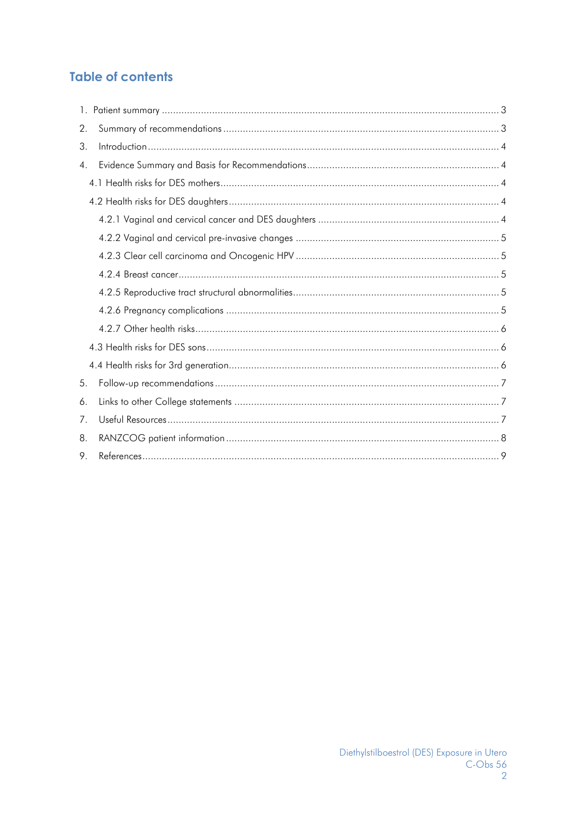# <span id="page-1-0"></span>**Table of contents**

| 2. |  |  |  |  |  |
|----|--|--|--|--|--|
| 3. |  |  |  |  |  |
| 4. |  |  |  |  |  |
|    |  |  |  |  |  |
|    |  |  |  |  |  |
|    |  |  |  |  |  |
|    |  |  |  |  |  |
|    |  |  |  |  |  |
|    |  |  |  |  |  |
|    |  |  |  |  |  |
|    |  |  |  |  |  |
|    |  |  |  |  |  |
|    |  |  |  |  |  |
|    |  |  |  |  |  |
| 5. |  |  |  |  |  |
| 6. |  |  |  |  |  |
| 7. |  |  |  |  |  |
| 8. |  |  |  |  |  |
| 9. |  |  |  |  |  |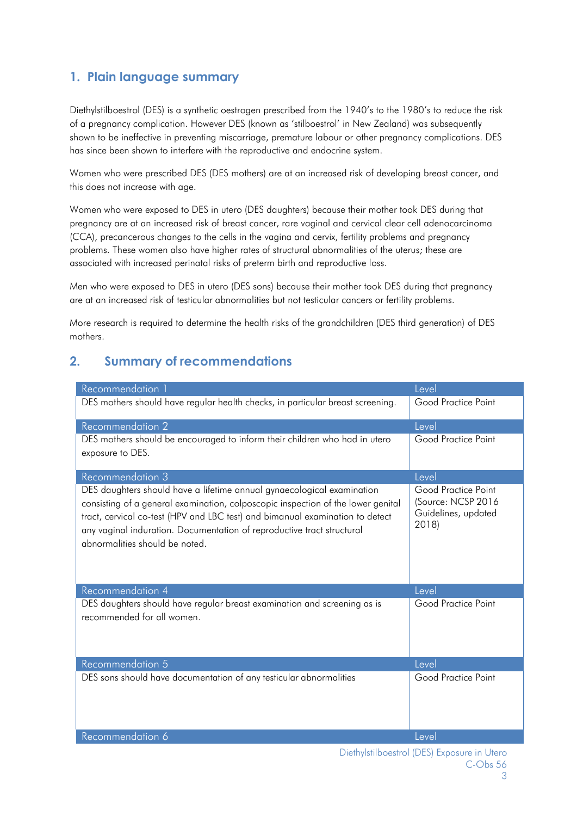# **1. Plain language summary**

Diethylstilboestrol (DES) is a synthetic oestrogen prescribed from the 1940's to the 1980's to reduce the risk of a pregnancy complication. However DES (known as 'stilboestrol' in New Zealand) was subsequently shown to be ineffective in preventing miscarriage, premature labour or other pregnancy complications. DES has since been shown to interfere with the reproductive and endocrine system.

Women who were prescribed DES (DES mothers) are at an increased risk of developing breast cancer, and this does not increase with age.

Women who were exposed to DES in utero (DES daughters) because their mother took DES during that pregnancy are at an increased risk of breast cancer, rare vaginal and cervical clear cell adenocarcinoma (CCA), precancerous changes to the cells in the vagina and cervix, fertility problems and pregnancy problems. These women also have higher rates of structural abnormalities of the uterus; these are associated with increased perinatal risks of preterm birth and reproductive loss.

Men who were exposed to DES in utero (DES sons) because their mother took DES during that pregnancy are at an increased risk of testicular abnormalities but not testicular cancers or fertility problems.

More research is required to determine the health risks of the grandchildren (DES third generation) of DES mothers.

# <span id="page-2-0"></span>**2. Summary of recommendations**

| Recommendation 1                                                                                                                                                                                                                                                                                                                                        | Level                                                                     |
|---------------------------------------------------------------------------------------------------------------------------------------------------------------------------------------------------------------------------------------------------------------------------------------------------------------------------------------------------------|---------------------------------------------------------------------------|
| DES mothers should have regular health checks, in particular breast screening.                                                                                                                                                                                                                                                                          | Good Practice Point                                                       |
| <b>Recommendation 2</b>                                                                                                                                                                                                                                                                                                                                 | Level                                                                     |
| DES mothers should be encouraged to inform their children who had in utero<br>exposure to DES.                                                                                                                                                                                                                                                          | Good Practice Point                                                       |
| Recommendation 3                                                                                                                                                                                                                                                                                                                                        | Level                                                                     |
| DES daughters should have a lifetime annual gynaecological examination<br>consisting of a general examination, colposcopic inspection of the lower genital<br>tract, cervical co-test (HPV and LBC test) and bimanual examination to detect<br>any vaginal induration. Documentation of reproductive tract structural<br>abnormalities should be noted. | Good Practice Point<br>(Source: NCSP 2016<br>Guidelines, updated<br>2018) |
| Recommendation 4                                                                                                                                                                                                                                                                                                                                        | Level                                                                     |
| DES daughters should have regular breast examination and screening as is<br>recommended for all women.                                                                                                                                                                                                                                                  | Good Practice Point                                                       |
| Recommendation 5                                                                                                                                                                                                                                                                                                                                        | Level                                                                     |
| DES sons should have documentation of any testicular abnormalities                                                                                                                                                                                                                                                                                      | Good Practice Point                                                       |
| Recommendation 6                                                                                                                                                                                                                                                                                                                                        | Level                                                                     |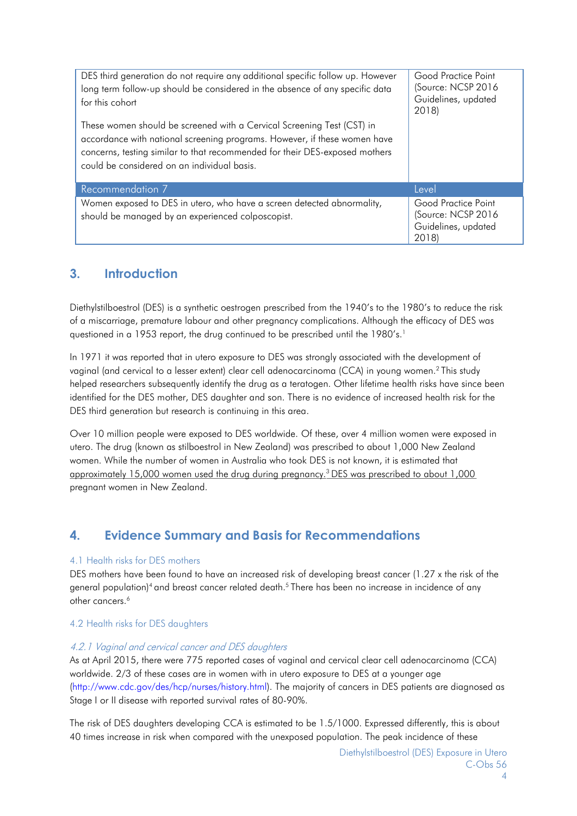| DES third generation do not require any additional specific follow up. However<br>long term follow-up should be considered in the absence of any specific data<br>for this cohort<br>These women should be screened with a Cervical Screening Test (CST) in<br>accordance with national screening programs. However, if these women have<br>concerns, testing similar to that recommended for their DES-exposed mothers<br>could be considered on an individual basis. | Good Practice Point<br>(Source: NCSP 2016<br>Guidelines, updated<br>2018) |
|------------------------------------------------------------------------------------------------------------------------------------------------------------------------------------------------------------------------------------------------------------------------------------------------------------------------------------------------------------------------------------------------------------------------------------------------------------------------|---------------------------------------------------------------------------|
| Recommendation 7                                                                                                                                                                                                                                                                                                                                                                                                                                                       | Level                                                                     |
| Women exposed to DES in utero, who have a screen detected abnormality,<br>should be managed by an experienced colposcopist.                                                                                                                                                                                                                                                                                                                                            | Good Practice Point<br>(Source: NCSP 2016<br>Guidelines, updated<br>2018) |

# <span id="page-3-0"></span>**3. Introduction**

Diethylstilboestrol (DES) is a synthetic oestrogen prescribed from the 1940's to the 1980's to reduce the risk of a miscarriage, premature labour and other pregnancy complications. Although the efficacy of DES was questioned in a 1953 report, the drug continued to be prescribed until the 1980's.<sup>1</sup>

In 1971 it was reported that in utero exposure to DES was strongly associated with the development of vaginal (and cervical to a lesser extent) clear cell adenocarcinoma (CCA) in young women[.2](#page-8-1) This study helped researchers subsequently identify the drug as a teratogen. Other lifetime health risks have since been identified for the DES mother, DES daughter and son. There is no evidence of increased health risk for the DES third generation but research is continuing in this area.

Over 10 million people were exposed to DES worldwide. Of these, over 4 million women were exposed in utero. The drug (known as stilboestrol in New Zealand) was prescribed to about 1,000 New Zealand women. While the number of women in Australia who took DES is not known, it is estimated that approximately 15,000 women used the drug during pregnancy[.3](#page-8-2) DES was prescribed to about 1,000 pregnant women in New Zealand.

# <span id="page-3-1"></span>**4. Evidence Summary and Basis for Recommendations**

### <span id="page-3-2"></span>4.1 Health risks for DES mothers

<span id="page-3-5"></span>DES mothers have been found to have an increased risk of developing breast cancer (1.27 x the risk of the general population)<sup>4</sup> and breast cancer related death.<sup>5</sup> There has been no increase in incidence of any other cancers.<sup>6</sup>

### <span id="page-3-3"></span>4.2 Health risks for DES daughters

### <span id="page-3-4"></span>4.2.1 Vaginal and cervical cancer and DES daughters

As at April 2015, there were 775 reported cases of vaginal and cervical clear cell adenocarcinoma (CCA) worldwide. 2/3 of these cases are in women with in utero exposure to DES at a younger age [\(http://www.cdc.gov/des/hcp/nurses/history.html\).](http://www.cdc.gov/des/hcp/nurses/history.html) The majority of cancers in DES patients are diagnosed as Stage I or II disease with reported survival rates of 80-90%.

The risk of DES daughters developing CCA is estimated to be 1.5/1000. Expressed differently, this is about 40 times increase in risk when compared with the unexposed population. The peak incidence of these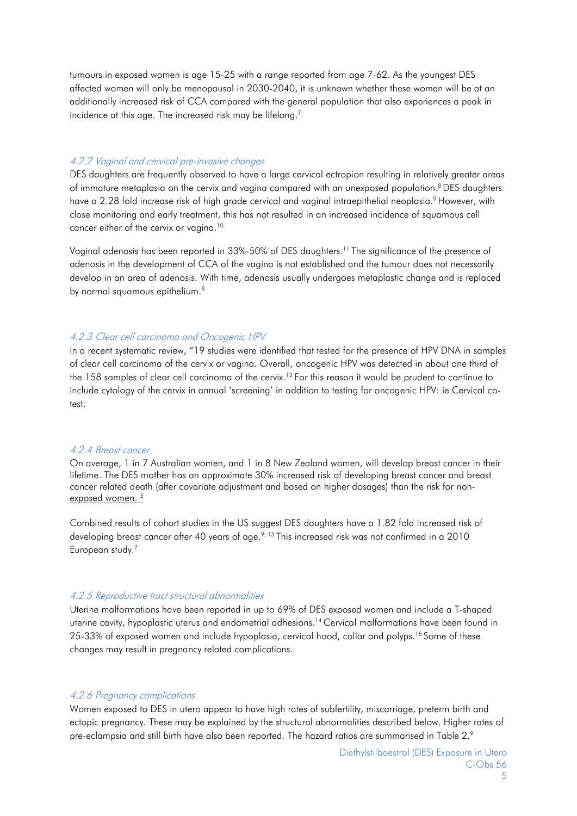<span id="page-4-7"></span>tumours in exposed women is age 15-25 with a range reported from age 7-62. As the youngest DES affected women will only be menopausal in 2030-2040, it is unknown whether these women will be at an additionally increased risk of CCA compared with the general population that also experiences a peak in incidence at this age. The increased risk may be lifelong.<sup>7</sup>

#### <span id="page-4-0"></span>4.2.2 Vaginal and cervical pre-invasive changes

<span id="page-4-6"></span><span id="page-4-5"></span>DES daughters are frequently observed to have a large cervical ectropion resulting in relatively greater areas of immature metaplasia on the cervix and vagina compared with an unexposed population.<sup>8</sup> DES daughters have a 2.28 fold increase risk of high grade cervical and vaginal intraepithelial neoplasia.<sup>9</sup> However, with close monitoring and early treatment, this has not resulted in an increased incidence of squamous cell cancer either of the cervix or vagina.<sup>10</sup>

Vaginal adenosis has been reported in 33%-50% of DES daughters.<sup>11</sup> The significance of the presence of adenosis in the development of CCA of the vagina is not established and the tumour does not necessarily develop in an area of adenosis. With time, adenosis usually undergoes metaplastic change and is replaced by normal squamous epitheliu[m.](#page-4-5) [8](#page-4-5)

#### <span id="page-4-1"></span>4.2.3 Clear cell carcinoma and Oncogenic HPV

<span id="page-4-8"></span>In a recent systematic review, "19 studies were identified that tested for the presence of HPV DNA in samples of clear cell carcinoma of the cervix or vagina. Overall, oncogenic HPV was detected in about one third of the 158 samples of clear cell carcinoma of the cervix.<sup>12</sup> For this reason it would be prudent to continue to include cytology of the cervix in annual 'screening' in addition to testing for oncogenic HPV: ie Cervical cotest.

#### <span id="page-4-2"></span>4.2.4 Breast cancer

On average, 1 in 7 Australian women, and 1 in 8 New Zealand women, will develop breast cancer in their lifetime. The DES mother has an approximate 30% increased risk of developing breast cancer and breast cancer related death (after covariate adjustment and based on higher dosages) than the risk for nonexposed women.<sup>5</sup>

Combined results of cohort studies in the US suggest DES daughters have a 1.82 fold increased risk of developing breast cancer after 40 years of age.<sup>9, [13](#page-8-12)</sup> This increased risk was not confirmed in a 2010 European stud[y.](#page-4-7) [7](#page-4-7)

#### <span id="page-4-3"></span>4.2.5 Reproductive tract structural abnormalities

Uterine malformations have been reported in up to 69% of DES exposed women and include a T-shaped uterine cavity, hypoplastic uterus and endometrial adhesions[.14](#page-9-0) Cervical malformations have been found in 25-33% of exposed women and include hypoplasia, cervical hood, collar and polyps[.15](#page-9-1) Some of these changes may result in pregnancy related complications.

#### <span id="page-4-4"></span>4.2.6 Pregnancy complications

Women exposed to DES in utero appear to have high rates of subfertility, miscarriage, preterm birth and ectopic pregnancy. These may be explained by the structural abnormalities described below. Higher rates of pre-eclampsia and still birth have also been reported. The hazard ratios are summarised in Table 2[.9](#page-4-6)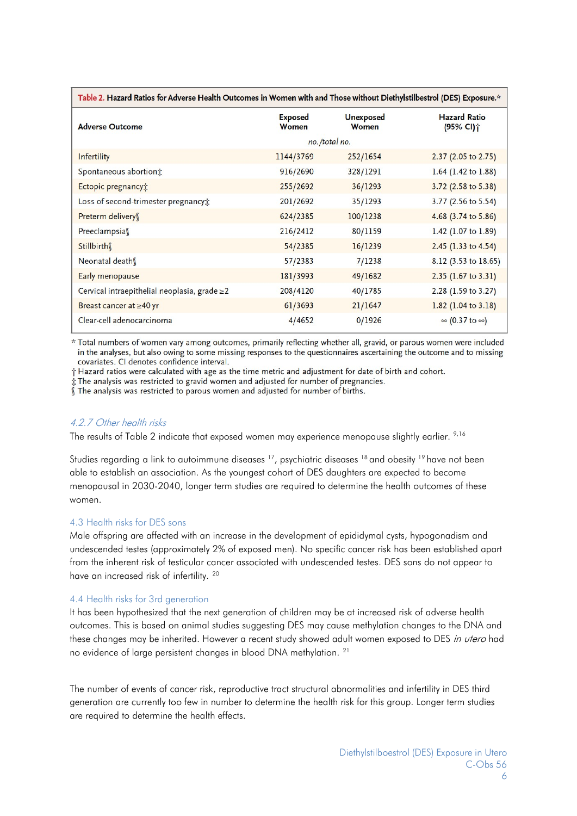| Table 2. Hazard Ratios for Adverse Health Outcomes in Women with and Those without Diethylstilbestrol (DES) Exposure.* |                         |                           |                                  |  |
|------------------------------------------------------------------------------------------------------------------------|-------------------------|---------------------------|----------------------------------|--|
| <b>Adverse Outcome</b>                                                                                                 | <b>Exposed</b><br>Women | <b>Unexposed</b><br>Women | <b>Hazard Ratio</b><br>(95% CI)个 |  |
|                                                                                                                        |                         | no./total no.             |                                  |  |
| <b>Infertility</b>                                                                                                     | 1144/3769               | 252/1654                  | $2.37$ (2.05 to 2.75)            |  |
| Spontaneous abortion:                                                                                                  | 916/2690                | 328/1291                  | 1.64 (1.42 to 1.88)              |  |
| Ectopic pregnancy:                                                                                                     | 255/2692                | 36/1293                   | 3.72 (2.58 to 5.38)              |  |
| Loss of second-trimester pregnancy;                                                                                    | 201/2692                | 35/1293                   | 3.77 (2.56 to 5.54)              |  |
| Preterm delivery                                                                                                       | 624/2385                | 100/1238                  | 4.68 $(3.74 \text{ to } 5.86)$   |  |
| Preeclampsias                                                                                                          | 216/2412                | 80/1159                   | 1.42 (1.07 to 1.89)              |  |
| Stillbirth                                                                                                             | 54/2385                 | 16/1239                   | $2.45$ (1.33 to 4.54)            |  |
| Neonatal death                                                                                                         | 57/2383                 | 7/1238                    | 8.12 (3.53 to 18.65)             |  |
| Early menopause                                                                                                        | 181/3993                | 49/1682                   | $2.35$ (1.67 to 3.31)            |  |
| Cervical intraepithelial neoplasia, grade ≥2                                                                           | 208/4120                | 40/1785                   | 2.28 (1.59 to 3.27)              |  |
| Breast cancer at ≥40 yr                                                                                                | 61/3693                 | 21/1647                   | $1.82$ (1.04 to 3.18)            |  |
| Clear-cell adenocarcinoma                                                                                              | 4/4652                  | 0/1926                    | $\infty$ (0.37 to $\infty$ )     |  |

\* Total numbers of women vary among outcomes, primarily reflecting whether all, gravid, or parous women were included in the analyses, but also owing to some missing responses to the questionnaires ascertaining the outcome and to missing covariates. CI denotes confidence interval.

† Hazard ratios were calculated with age as the time metric and adjustment for date of birth and cohort.

 $\stackrel{\text{\scriptsize{\textsf{i}}}}{S}$ . The analysis was restricted to gravid women and adjusted for number of pregnancies.<br> $\int\limits_0^{\pi}\text{The analysis was restricted to parous women and adjusted for number of births.}$ 

### <span id="page-5-0"></span>4.2.7 Other health risks

The results of Table 2 indicate that exposed women may experience menopause slightly earlier. [9,](#page-4-6)[16](#page-9-2)

Studies regarding a link to autoimmune diseases <sup>17</sup>, psychiatric diseases <sup>18</sup> and obesity <sup>19</sup> have not been able to establish an association. As the youngest cohort of DES daughters are expected to become menopausal in 2030-2040, longer term studies are required to determine the health outcomes of these women.

#### <span id="page-5-1"></span>4.3 Health risks for DES sons

Male offspring are affected with an increase in the development of epididymal cysts, hypogonadism and undescended testes (approximately 2% of exposed men). No specific cancer risk has been established apart from the inherent risk of testicular cancer associated with undescended testes. DES sons do not appear to have an increased risk of infertility. [20](#page-9-6)

#### <span id="page-5-2"></span>4.4 Health risks for 3rd generation

It has been hypothesized that the next generation of children may be at increased risk of adverse health outcomes. This is based on animal studies suggesting DES may cause methylation changes to the DNA and these changes may be inherited. However a recent study showed adult women exposed to DES in utero had no evidence of large persistent changes in blood DNA methylation. [21](#page-9-7)

The number of events of cancer risk, reproductive tract structural abnormalities and infertility in DES third generation are currently too few in number to determine the health risk for this group. Longer term studies are required to determine the health effects.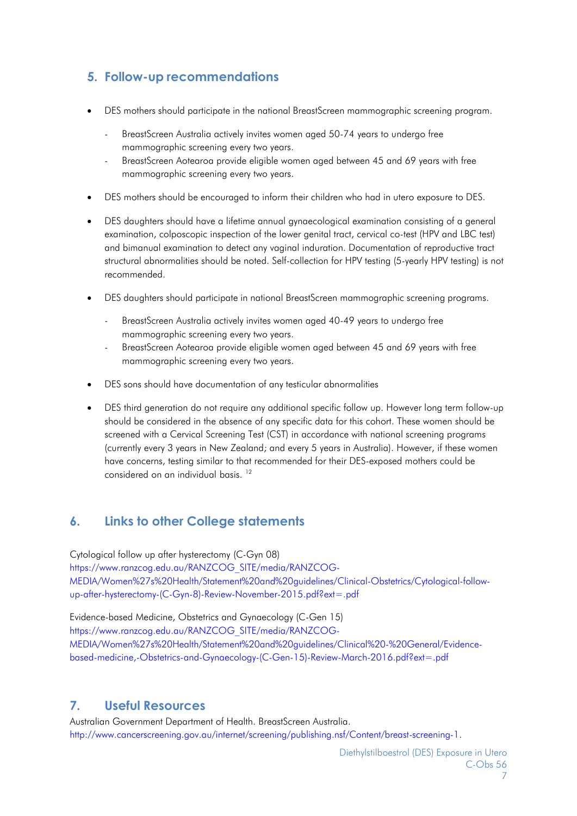# <span id="page-6-0"></span>**5. Follow-up recommendations**

- DES mothers should participate in the national BreastScreen mammographic screening program.
	- BreastScreen Australia actively invites women aged 50-74 years to undergo free mammographic screening every two years.
	- BreastScreen Aotearoa provide eligible women aged between 45 and 69 years with free mammographic screening every two years.
- DES mothers should be encouraged to inform their children who had in utero exposure to DES.
- DES daughters should have a lifetime annual gynaecological examination consisting of a general examination, colposcopic inspection of the lower genital tract, cervical co-test (HPV and LBC test) and bimanual examination to detect any vaginal induration. Documentation of reproductive tract structural abnormalities should be noted. Self-collection for HPV testing (5-yearly HPV testing) is not recommended.
- DES daughters should participate in national BreastScreen mammographic screening programs.
	- BreastScreen Australia actively invites women aged 40-49 years to undergo free mammographic screening every two years.
	- BreastScreen Aotearoa provide eligible women aged between 45 and 69 years with free mammographic screening every two years.
- DES sons should have documentation of any testicular abnormalities
- DES third generation do not require any additional specific follow up. However long term follow-up should be considered in the absence of any specific data for this cohort. These women should be screened with a Cervical Screening Test (CST) in accordance with national screening programs (currently every 3 years in New Zealand; and every 5 years in Australia). However, if these women have concerns, testing similar to that recommended for their DES-exposed mothers could be considered on an individual basis. [12](#page-4-8)

# <span id="page-6-1"></span>**6. Links to other College statements**

Cytological follow up after hysterectomy (C-Gyn 08) [https://www.ranzcog.edu.au/RANZCOG\\_SITE/media/RANZCOG-](https://www.ranzcog.edu.au/RANZCOG_SITE/media/RANZCOG-MEDIA/Women%27s%20Health/Statement%20and%20guidelines/Clinical-Obstetrics/Cytological-follow-up-after-hysterectomy-(C-Gyn-8)-Review-November-2015.pdf?ext=.pdf)[MEDIA/Women%27s%20Health/Statement%20and%20guidelines/Clinical-Obstetrics/Cytological-follow](https://www.ranzcog.edu.au/RANZCOG_SITE/media/RANZCOG-MEDIA/Women%27s%20Health/Statement%20and%20guidelines/Clinical-Obstetrics/Cytological-follow-up-after-hysterectomy-(C-Gyn-8)-Review-November-2015.pdf?ext=.pdf)[up-after-hysterectomy-\(C-Gyn-8\)-Review-November-2015.pdf?ext=.pdf](https://www.ranzcog.edu.au/RANZCOG_SITE/media/RANZCOG-MEDIA/Women%27s%20Health/Statement%20and%20guidelines/Clinical-Obstetrics/Cytological-follow-up-after-hysterectomy-(C-Gyn-8)-Review-November-2015.pdf?ext=.pdf)

Evidence-based Medicine, Obstetrics and Gynaecology (C-Gen 15) [https://www.ranzcog.edu.au/RANZCOG\\_SITE/media/RANZCOG-](https://www.ranzcog.edu.au/RANZCOG_SITE/media/RANZCOG-MEDIA/Women%27s%20Health/Statement%20and%20guidelines/Clinical%20-%20General/Evidence-based-medicine%2C-Obstetrics-and-Gynaecology-(C-Gen-15)-Review-March-2016.pdf?ext=.pdf)[MEDIA/Women%27s%20Health/Statement%20and%20guidelines/Clinical%20-%20General/Evidence](https://www.ranzcog.edu.au/RANZCOG_SITE/media/RANZCOG-MEDIA/Women%27s%20Health/Statement%20and%20guidelines/Clinical%20-%20General/Evidence-based-medicine%2C-Obstetrics-and-Gynaecology-(C-Gen-15)-Review-March-2016.pdf?ext=.pdf)[based-medicine,-Obstetrics-and-Gynaecology-\(C-Gen-15\)-Review-March-2016.pdf?ext=.pdf](https://www.ranzcog.edu.au/RANZCOG_SITE/media/RANZCOG-MEDIA/Women%27s%20Health/Statement%20and%20guidelines/Clinical%20-%20General/Evidence-based-medicine%2C-Obstetrics-and-Gynaecology-(C-Gen-15)-Review-March-2016.pdf?ext=.pdf)

# <span id="page-6-2"></span>**7. Useful Resources**

Australian Government Department of Health. BreastScreen Australia.

[http://www.cancerscreening.gov.au/internet/screening/publishing.nsf/Content/breast-screening-1.](http://www.cancerscreening.gov.au/internet/screening/publishing.nsf/Content/breast-screening-1)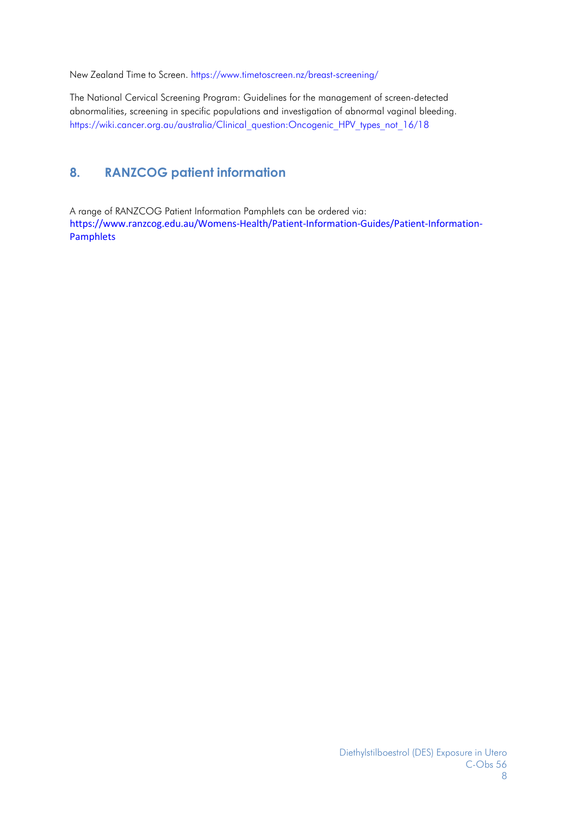New Zealand Time to Screen. <https://www.timetoscreen.nz/breast-screening/>

The National Cervical Screening Program: Guidelines for the management of screen-detected abnormalities, screening in specific populations and investigation of abnormal vaginal bleeding. https://wiki.cancer.org.au/australia/Clinical\_question:Oncogenic\_HPV\_types\_not\_16/18

# <span id="page-7-0"></span>**8. RANZCOG patient information**

A range of RANZCOG Patient Information Pamphlets can be ordered via: [https://www.ranzcog.edu.au/Womens-Health/Patient-Information-Guides/Patient-Information-](https://www.ranzcog.edu.au/Womens-Health/Patient-Information-Guides/Patient-Information-Pamphlets)[Pamphlets](https://www.ranzcog.edu.au/Womens-Health/Patient-Information-Guides/Patient-Information-Pamphlets)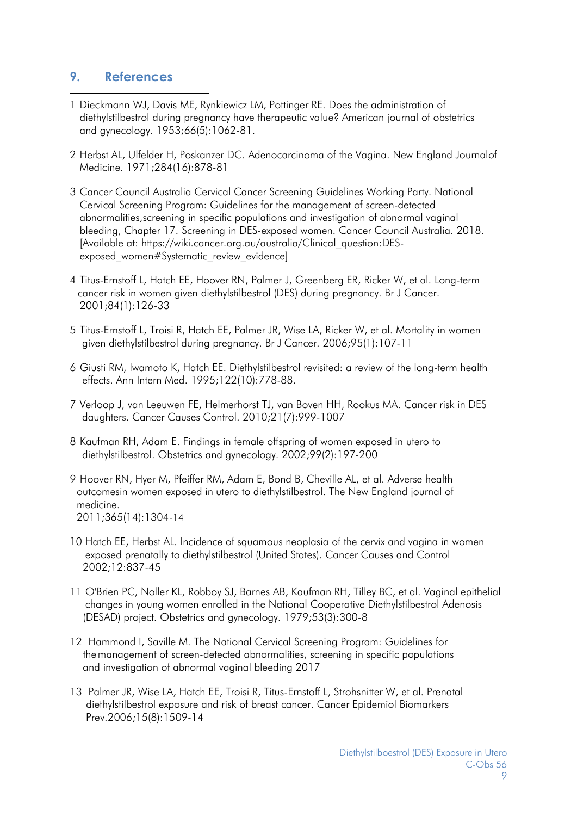# <span id="page-8-0"></span>**9. References**

- 1 Dieckmann WJ, Davis ME, Rynkiewicz LM, Pottinger RE. Does the administration of diethylstilbestrol during pregnancy have therapeutic value? American journal of obstetrics and gynecology. 1953;66(5):1062-81.
- <span id="page-8-1"></span>2 Herbst AL, Ulfelder H, Poskanzer DC. Adenocarcinoma of the Vagina. New England Journalof Medicine. 1971;284(16):878-81
- <span id="page-8-2"></span>3 Cancer Council Australia Cervical Cancer Screening Guidelines Working Party. National Cervical Screening Program: Guidelines for the management of screen-detected abnormalities,screening in specific populations and investigation of abnormal vaginal bleeding, Chapter 17. Screening in DES-exposed women. Cancer Council Australia. 2018. [Available at: https://wiki.cancer.org.au/australia/Clinical\_question:DESexposed women#Systematic review evidence]
- <span id="page-8-3"></span>4 Titus-Ernstoff L, Hatch EE, Hoover RN, Palmer J, Greenberg ER, Ricker W, et al. Long-term cancer risk in women given diethylstilbestrol (DES) during pregnancy. Br J Cancer. 2001;84(1):126-33
- <span id="page-8-4"></span>5 Titus-Ernstoff L, Troisi R, Hatch EE, Palmer JR, Wise LA, Ricker W, et al. Mortality in women given diethylstilbestrol during pregnancy. Br J Cancer. 2006;95(1):107-11
- <span id="page-8-5"></span>6 Giusti RM, Iwamoto K, Hatch EE. Diethylstilbestrol revisited: a review of the long-term health effects. Ann Intern Med. 1995;122(10):778-88.
- <span id="page-8-6"></span>7 Verloop J, van Leeuwen FE, Helmerhorst TJ, van Boven HH, Rookus MA. Cancer risk in DES daughters. Cancer Causes Control. 2010;21(7):999-1007
- <span id="page-8-7"></span>8 Kaufman RH, Adam E. Findings in female offspring of women exposed in utero to diethylstilbestrol. Obstetrics and gynecology. 2002;99(2):197-200
- <span id="page-8-8"></span>9 Hoover RN, Hyer M, Pfeiffer RM, Adam E, Bond B, Cheville AL, et al. Adverse health outcomesin women exposed in utero to diethylstilbestrol. The New England journal of medicine. 2011;365(14):1304-14
- <span id="page-8-9"></span>10 Hatch EE, Herbst AL. Incidence of squamous neoplasia of the cervix and vagina in women exposed prenatally to diethylstilbestrol (United States). Cancer Causes and Control 2002;12:837-45
- <span id="page-8-10"></span>11 O'Brien PC, Noller KL, Robboy SJ, Barnes AB, Kaufman RH, Tilley BC, et al. Vaginal epithelial changes in young women enrolled in the National Cooperative Diethylstilbestrol Adenosis (DESAD) project. Obstetrics and gynecology. 1979;53(3):300-8
- <span id="page-8-11"></span>12 Hammond I, Saville M. The National Cervical Screening Program: Guidelines for the management of screen-detected abnormalities, screening in specific populations and investigation of abnormal vaginal bleeding 2017
- <span id="page-8-12"></span>13 Palmer JR, Wise LA, Hatch EE, Troisi R, Titus-Ernstoff L, Strohsnitter W, et al. Prenatal diethylstilbestrol exposure and risk of breast cancer. Cancer Epidemiol Biomarkers Prev.2006;15(8):1509-14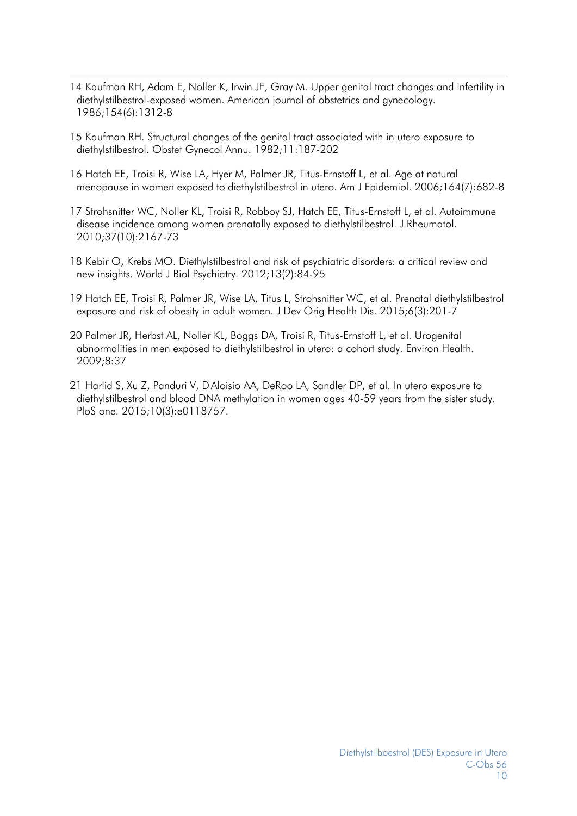- <span id="page-9-0"></span>14 Kaufman RH, Adam E, Noller K, Irwin JF, Gray M. Upper genital tract changes and infertility in diethylstilbestrol-exposed women. American journal of obstetrics and gynecology. 1986;154(6):1312-8
- <span id="page-9-1"></span>15 Kaufman RH. Structural changes of the genital tract associated with in utero exposure to diethylstilbestrol. Obstet Gynecol Annu. 1982;11:187-202
- <span id="page-9-2"></span>16 Hatch EE, Troisi R, Wise LA, Hyer M, Palmer JR, Titus-Ernstoff L, et al. Age at natural menopause in women exposed to diethylstilbestrol in utero. Am J Epidemiol. 2006;164(7):682-8
- <span id="page-9-3"></span>17 Strohsnitter WC, Noller KL, Troisi R, Robboy SJ, Hatch EE, Titus-Ernstoff L, et al. Autoimmune disease incidence among women prenatally exposed to diethylstilbestrol. J Rheumatol. 2010;37(10):2167-73
- <span id="page-9-4"></span>18 Kebir O, Krebs MO. Diethylstilbestrol and risk of psychiatric disorders: a critical review and new insights. World J Biol Psychiatry. 2012;13(2):84-95
- <span id="page-9-5"></span>19 Hatch EE, Troisi R, Palmer JR, Wise LA, Titus L, Strohsnitter WC, et al. Prenatal diethylstilbestrol exposure and risk of obesity in adult women. J Dev Orig Health Dis. 2015;6(3):201-7
- <span id="page-9-6"></span>20 Palmer JR, Herbst AL, Noller KL, Boggs DA, Troisi R, Titus-Ernstoff L, et al. Urogenital abnormalities in men exposed to diethylstilbestrol in utero: a cohort study. Environ Health. 2009;8:37
- <span id="page-9-7"></span>21 Harlid S, Xu Z, Panduri V, D'Aloisio AA, DeRoo LA, Sandler DP, et al. In utero exposure to diethylstilbestrol and blood DNA methylation in women ages 40-59 years from the sister study. PloS one. 2015;10(3):e0118757.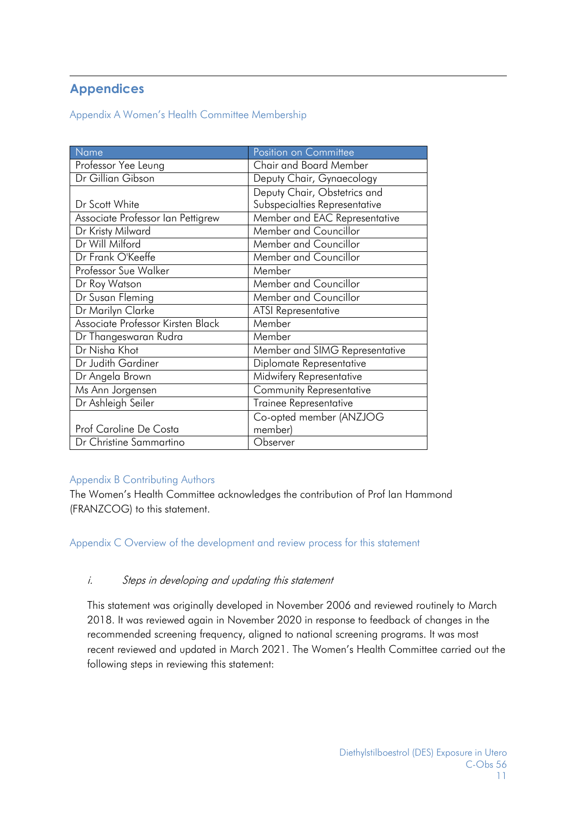# **Appendices**

Appendix A Women's Health Committee Membership

| Name                              | Position on Committee          |  |  |
|-----------------------------------|--------------------------------|--|--|
| Professor Yee Leung               | <b>Chair and Board Member</b>  |  |  |
| Dr Gillian Gibson                 | Deputy Chair, Gynaecology      |  |  |
|                                   | Deputy Chair, Obstetrics and   |  |  |
| Dr Scott White                    | Subspecialties Representative  |  |  |
| Associate Professor Ian Pettigrew | Member and EAC Representative  |  |  |
| Dr Kristy Milward                 | Member and Councillor          |  |  |
| Dr Will Milford                   | Member and Councillor          |  |  |
| Dr Frank O'Keeffe                 | Member and Councillor          |  |  |
| Professor Sue Walker              | Member                         |  |  |
| Dr Roy Watson                     | Member and Councillor          |  |  |
| Dr Susan Fleming                  | Member and Councillor          |  |  |
| Dr Marilyn Clarke                 | <b>ATSI Representative</b>     |  |  |
| Associate Professor Kirsten Black | Member                         |  |  |
| Dr Thangeswaran Rudra             | Member                         |  |  |
| Dr Nisha Khot                     | Member and SIMG Representative |  |  |
| Dr Judith Gardiner                | Diplomate Representative       |  |  |
| Dr Angela Brown                   | Midwifery Representative       |  |  |
| Ms Ann Jorgensen                  | Community Representative       |  |  |
| Dr Ashleigh Seiler                | Trainee Representative         |  |  |
|                                   | Co-opted member (ANZJOG        |  |  |
| Prof Caroline De Costa            | member)                        |  |  |
| Dr Christine Sammartino           | Observer                       |  |  |

# Appendix B Contributing Authors

The Women's Health Committee acknowledges the contribution of Prof Ian Hammond (FRANZCOG) to this statement.

Appendix C Overview of the development and review process for this statement

# i. Steps in developing and updating this statement

This statement was originally developed in November 2006 and reviewed routinely to March 2018. It was reviewed again in November 2020 in response to feedback of changes in the recommended screening frequency, aligned to national screening programs. It was most recent reviewed and updated in March 2021. The Women's Health Committee carried out the following steps in reviewing this statement: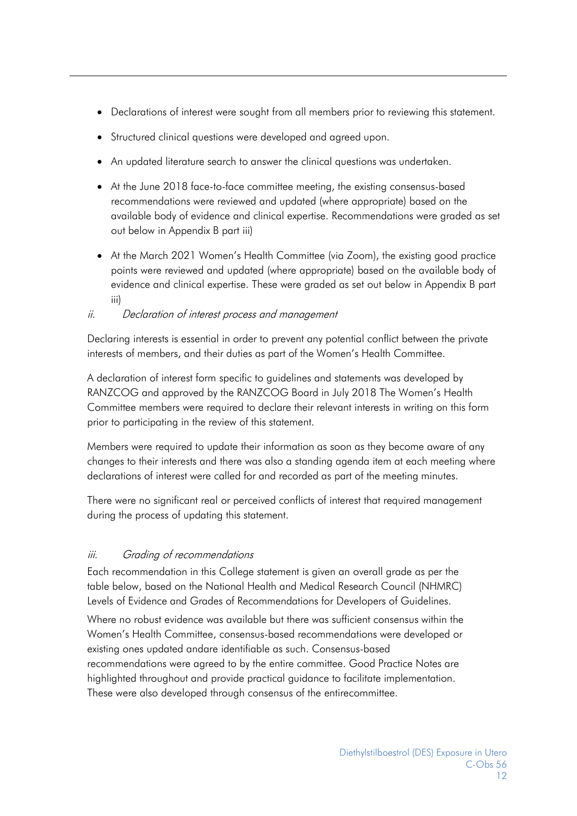- Declarations of interest were sought from all members prior to reviewing this statement.
- Structured clinical questions were developed and agreed upon.
- An updated literature search to answer the clinical questions was undertaken.
- At the June 2018 face-to-face committee meeting, the existing consensus-based recommendations were reviewed and updated (where appropriate) based on the available body of evidence and clinical expertise. Recommendations were graded as set out below in Appendix B part iii)
- At the March 2021 Women's Health Committee (via Zoom), the existing good practice points were reviewed and updated (where appropriate) based on the available body of evidence and clinical expertise. These were graded as set out below in Appendix B part iii)

# ii. Declaration of interest process and management

Declaring interests is essential in order to prevent any potential conflict between the private interests of members, and their duties as part of the Women's Health Committee.

A declaration of interest form specific to guidelines and statements was developed by RANZCOG and approved by the RANZCOG Board in July 2018 The Women's Health Committee members were required to declare their relevant interests in writing on this form prior to participating in the review of this statement.

Members were required to update their information as soon as they become aware of any changes to their interests and there was also a standing agenda item at each meeting where declarations of interest were called for and recorded as part of the meeting minutes.

There were no significant real or perceived conflicts of interest that required management during the process of updating this statement.

# iii. Grading of recommendations

Each recommendation in this College statement is given an overall grade as per the table below, based on the National Health and Medical Research Council (NHMRC) Levels of Evidence and Grades of Recommendations for Developers of Guidelines.

Where no robust evidence was available but there was sufficient consensus within the Women's Health Committee, consensus-based recommendations were developed or existing ones updated andare identifiable as such. Consensus-based recommendations were agreed to by the entire committee. Good Practice Notes are highlighted throughout and provide practical guidance to facilitate implementation. These were also developed through consensus of the entirecommittee.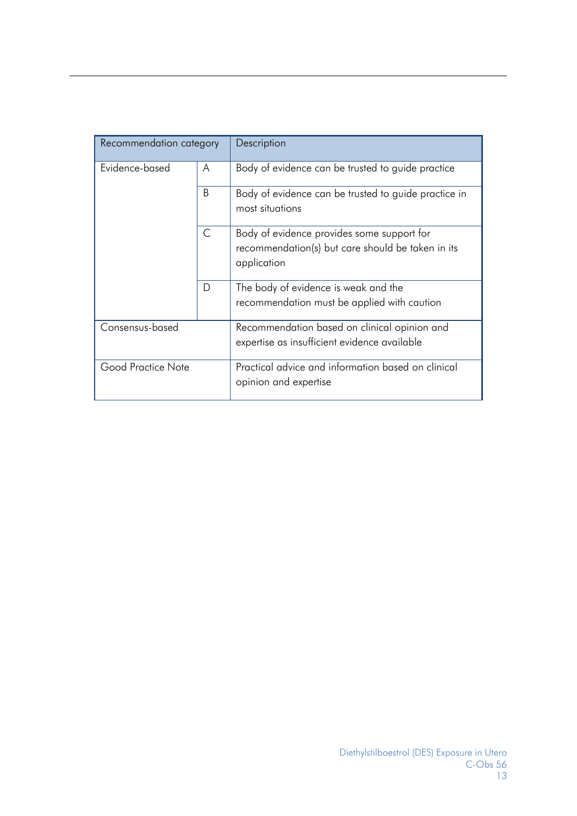| Recommendation category |              | Description                                                                                                    |  |  |  |
|-------------------------|--------------|----------------------------------------------------------------------------------------------------------------|--|--|--|
| Evidence-based          | A            | Body of evidence can be trusted to guide practice                                                              |  |  |  |
|                         | B            | Body of evidence can be trusted to guide practice in<br>most situations                                        |  |  |  |
|                         | $\mathsf{C}$ | Body of evidence provides some support for<br>recommendation(s) but care should be taken in its<br>application |  |  |  |
|                         | D            | The body of evidence is weak and the<br>recommendation must be applied with caution                            |  |  |  |
| Consensus-based         |              | Recommendation based on clinical opinion and<br>expertise as insufficient evidence available                   |  |  |  |
| Good Practice Note      |              | Practical advice and information based on clinical<br>opinion and expertise                                    |  |  |  |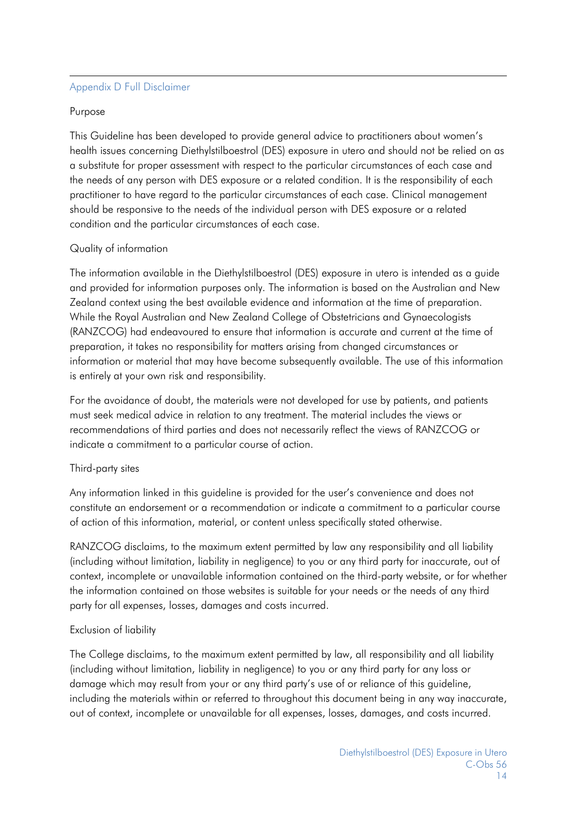# Appendix D Full Disclaimer

#### Purpose

This Guideline has been developed to provide general advice to practitioners about women's health issues concerning Diethylstilboestrol (DES) exposure in utero and should not be relied on as a substitute for proper assessment with respect to the particular circumstances of each case and the needs of any person with DES exposure or a related condition. It is the responsibility of each practitioner to have regard to the particular circumstances of each case. Clinical management should be responsive to the needs of the individual person with DES exposure or a related condition and the particular circumstances of each case.

### Quality of information

The information available in the Diethylstilboestrol (DES) exposure in utero is intended as a guide and provided for information purposes only. The information is based on the Australian and New Zealand context using the best available evidence and information at the time of preparation. While the Royal Australian and New Zealand College of Obstetricians and Gynaecologists (RANZCOG) had endeavoured to ensure that information is accurate and current at the time of preparation, it takes no responsibility for matters arising from changed circumstances or information or material that may have become subsequently available. The use of this information is entirely at your own risk and responsibility.

For the avoidance of doubt, the materials were not developed for use by patients, and patients must seek medical advice in relation to any treatment. The material includes the views or recommendations of third parties and does not necessarily reflect the views of RANZCOG or indicate a commitment to a particular course of action.

### Third-party sites

Any information linked in this guideline is provided for the user's convenience and does not constitute an endorsement or a recommendation or indicate a commitment to a particular course of action of this information, material, or content unless specifically stated otherwise.

RANZCOG disclaims, to the maximum extent permitted by law any responsibility and all liability (including without limitation, liability in negligence) to you or any third party for inaccurate, out of context, incomplete or unavailable information contained on the third-party website, or for whether the information contained on those websites is suitable for your needs or the needs of any third party for all expenses, losses, damages and costs incurred.

### Exclusion of liability

The College disclaims, to the maximum extent permitted by law, all responsibility and all liability (including without limitation, liability in negligence) to you or any third party for any loss or damage which may result from your or any third party's use of or reliance of this guideline, including the materials within or referred to throughout this document being in any way inaccurate, out of context, incomplete or unavailable for all expenses, losses, damages, and costs incurred.